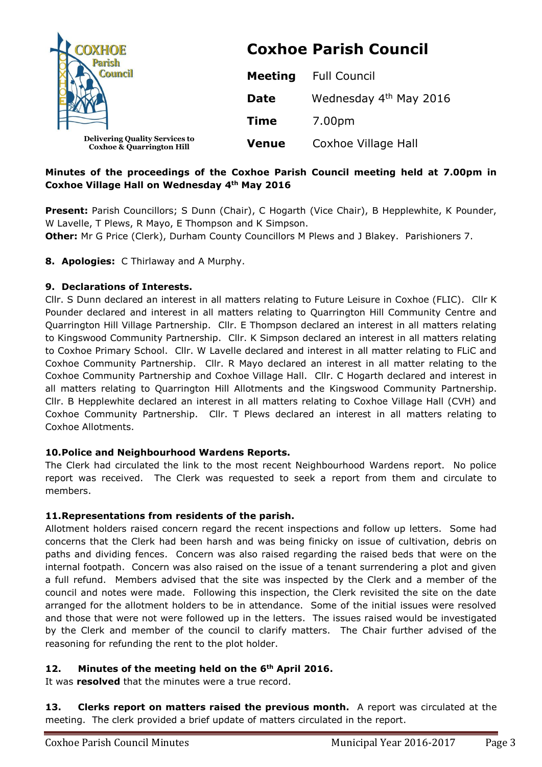| JOXHOE<br>Council                                                             | <b>Coxhoe Parish Council</b> |                        |
|-------------------------------------------------------------------------------|------------------------------|------------------------|
|                                                                               | <b>Meeting</b>               | <b>Full Council</b>    |
|                                                                               | <b>Date</b>                  | Wednesday 4th May 2016 |
|                                                                               | <b>Time</b>                  | 7.00pm                 |
| <b>Delivering Quality Services to</b><br><b>Coxhoe &amp; Quarrington Hill</b> | <b>Venue</b>                 | Coxhoe Village Hall    |

# **Minutes of the proceedings of the Coxhoe Parish Council meeting held at 7.00pm in Coxhoe Village Hall on Wednesday 4th May 2016**

**Present:** Parish Councillors; S Dunn (Chair), C Hogarth (Vice Chair), B Hepplewhite, K Pounder, W Lavelle, T Plews, R Mayo, E Thompson and K Simpson.

**Other:** Mr G Price (Clerk), Durham County Councillors M Plews and J Blakey. Parishioners 7.

**8. Apologies:** C Thirlaway and A Murphy.

### **9. Declarations of Interests.**

Cllr. S Dunn declared an interest in all matters relating to Future Leisure in Coxhoe (FLIC). Cllr K Pounder declared and interest in all matters relating to Quarrington Hill Community Centre and Quarrington Hill Village Partnership. Cllr. E Thompson declared an interest in all matters relating to Kingswood Community Partnership. Cllr. K Simpson declared an interest in all matters relating to Coxhoe Primary School. Cllr. W Lavelle declared and interest in all matter relating to FLiC and Coxhoe Community Partnership. Cllr. R Mayo declared an interest in all matter relating to the Coxhoe Community Partnership and Coxhoe Village Hall. Cllr. C Hogarth declared and interest in all matters relating to Quarrington Hill Allotments and the Kingswood Community Partnership. Cllr. B Hepplewhite declared an interest in all matters relating to Coxhoe Village Hall (CVH) and Coxhoe Community Partnership. Cllr. T Plews declared an interest in all matters relating to Coxhoe Allotments.

#### **10.Police and Neighbourhood Wardens Reports.**

The Clerk had circulated the link to the most recent Neighbourhood Wardens report. No police report was received. The Clerk was requested to seek a report from them and circulate to members.

#### **11.Representations from residents of the parish.**

Allotment holders raised concern regard the recent inspections and follow up letters. Some had concerns that the Clerk had been harsh and was being finicky on issue of cultivation, debris on paths and dividing fences. Concern was also raised regarding the raised beds that were on the internal footpath. Concern was also raised on the issue of a tenant surrendering a plot and given a full refund. Members advised that the site was inspected by the Clerk and a member of the council and notes were made. Following this inspection, the Clerk revisited the site on the date arranged for the allotment holders to be in attendance. Some of the initial issues were resolved and those that were not were followed up in the letters. The issues raised would be investigated by the Clerk and member of the council to clarify matters. The Chair further advised of the reasoning for refunding the rent to the plot holder.

# **12. Minutes of the meeting held on the 6th April 2016.**

It was **resolved** that the minutes were a true record.

**13. Clerks report on matters raised the previous month.** A report was circulated at the meeting. The clerk provided a brief update of matters circulated in the report.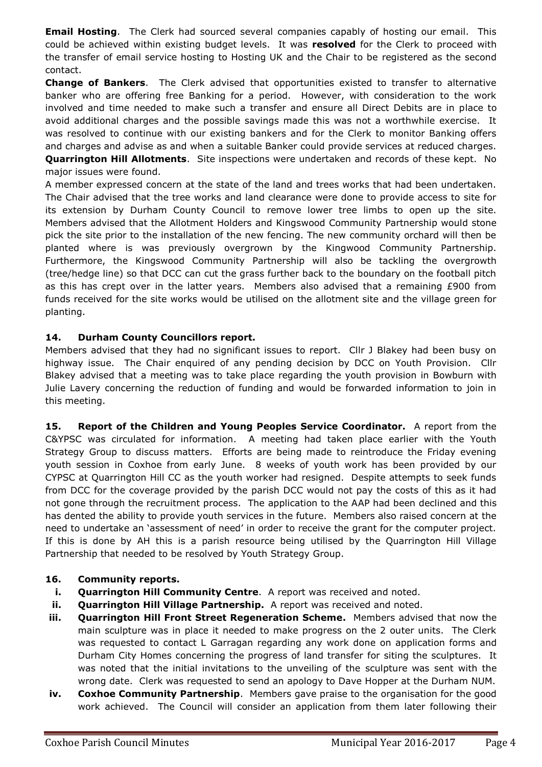**Email Hosting**. The Clerk had sourced several companies capably of hosting our email. This could be achieved within existing budget levels. It was **resolved** for the Clerk to proceed with the transfer of email service hosting to Hosting UK and the Chair to be registered as the second contact.

**Change of Bankers**. The Clerk advised that opportunities existed to transfer to alternative banker who are offering free Banking for a period. However, with consideration to the work involved and time needed to make such a transfer and ensure all Direct Debits are in place to avoid additional charges and the possible savings made this was not a worthwhile exercise. It was resolved to continue with our existing bankers and for the Clerk to monitor Banking offers and charges and advise as and when a suitable Banker could provide services at reduced charges. **Quarrington Hill Allotments**. Site inspections were undertaken and records of these kept. No major issues were found.

A member expressed concern at the state of the land and trees works that had been undertaken. The Chair advised that the tree works and land clearance were done to provide access to site for its extension by Durham County Council to remove lower tree limbs to open up the site. Members advised that the Allotment Holders and Kingswood Community Partnership would stone pick the site prior to the installation of the new fencing. The new community orchard will then be planted where is was previously overgrown by the Kingwood Community Partnership. Furthermore, the Kingswood Community Partnership will also be tackling the overgrowth (tree/hedge line) so that DCC can cut the grass further back to the boundary on the football pitch as this has crept over in the latter years. Members also advised that a remaining £900 from funds received for the site works would be utilised on the allotment site and the village green for planting.

### **14. Durham County Councillors report.**

Members advised that they had no significant issues to report. Cllr J Blakey had been busy on highway issue. The Chair enquired of any pending decision by DCC on Youth Provision. Cllr Blakey advised that a meeting was to take place regarding the youth provision in Bowburn with Julie Lavery concerning the reduction of funding and would be forwarded information to join in this meeting.

**15. Report of the Children and Young Peoples Service Coordinator.** A report from the C&YPSC was circulated for information. A meeting had taken place earlier with the Youth Strategy Group to discuss matters. Efforts are being made to reintroduce the Friday evening youth session in Coxhoe from early June. 8 weeks of youth work has been provided by our CYPSC at Quarrington Hill CC as the youth worker had resigned. Despite attempts to seek funds from DCC for the coverage provided by the parish DCC would not pay the costs of this as it had not gone through the recruitment process. The application to the AAP had been declined and this has dented the ability to provide youth services in the future. Members also raised concern at the need to undertake an 'assessment of need' in order to receive the grant for the computer project. If this is done by AH this is a parish resource being utilised by the Quarrington Hill Village Partnership that needed to be resolved by Youth Strategy Group.

# **16. Community reports.**

- **i. Quarrington Hill Community Centre.** A report was received and noted.
- **ii. Quarrington Hill Village Partnership.** A report was received and noted.
- **iii. Quarrington Hill Front Street Regeneration Scheme.** Members advised that now the main sculpture was in place it needed to make progress on the 2 outer units. The Clerk was requested to contact L Garragan regarding any work done on application forms and Durham City Homes concerning the progress of land transfer for siting the sculptures. It was noted that the initial invitations to the unveiling of the sculpture was sent with the wrong date. Clerk was requested to send an apology to Dave Hopper at the Durham NUM.
- **iv. Coxhoe Community Partnership**. Members gave praise to the organisation for the good work achieved. The Council will consider an application from them later following their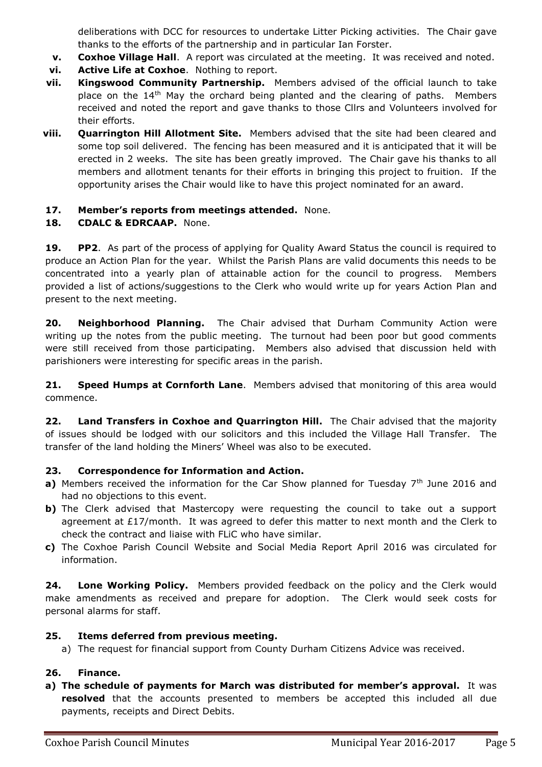deliberations with DCC for resources to undertake Litter Picking activities. The Chair gave thanks to the efforts of the partnership and in particular Ian Forster.

- **v. Coxhoe Village Hall**. A report was circulated at the meeting. It was received and noted.
- **vi. Active Life at Coxhoe**. Nothing to report.
- **vii. Kingswood Community Partnership.** Members advised of the official launch to take place on the 14<sup>th</sup> May the orchard being planted and the clearing of paths. Members received and noted the report and gave thanks to those Cllrs and Volunteers involved for their efforts.
- **viii. Quarrington Hill Allotment Site.** Members advised that the site had been cleared and some top soil delivered. The fencing has been measured and it is anticipated that it will be erected in 2 weeks. The site has been greatly improved. The Chair gave his thanks to all members and allotment tenants for their efforts in bringing this project to fruition. If the opportunity arises the Chair would like to have this project nominated for an award.

#### **17. Member's reports from meetings attended.** None.

#### **18. CDALC & EDRCAAP.** None.

**19. PP2**. As part of the process of applying for Quality Award Status the council is required to produce an Action Plan for the year. Whilst the Parish Plans are valid documents this needs to be concentrated into a yearly plan of attainable action for the council to progress. Members provided a list of actions/suggestions to the Clerk who would write up for years Action Plan and present to the next meeting.

**20. Neighborhood Planning.** The Chair advised that Durham Community Action were writing up the notes from the public meeting. The turnout had been poor but good comments were still received from those participating. Members also advised that discussion held with parishioners were interesting for specific areas in the parish.

**21. Speed Humps at Cornforth Lane**. Members advised that monitoring of this area would commence.

**22. Land Transfers in Coxhoe and Quarrington Hill.** The Chair advised that the majority of issues should be lodged with our solicitors and this included the Village Hall Transfer. The transfer of the land holding the Miners' Wheel was also to be executed.

#### **23. Correspondence for Information and Action.**

- **a)** Members received the information for the Car Show planned for Tuesday  $7<sup>th</sup>$  June 2016 and had no objections to this event.
- **b)** The Clerk advised that Mastercopy were requesting the council to take out a support agreement at  $E17/m$  onth. It was agreed to defer this matter to next month and the Clerk to check the contract and liaise with FLiC who have similar.
- **c)** The Coxhoe Parish Council Website and Social Media Report April 2016 was circulated for information.

**24. Lone Working Policy.** Members provided feedback on the policy and the Clerk would make amendments as received and prepare for adoption. The Clerk would seek costs for personal alarms for staff.

#### **25. Items deferred from previous meeting.**

a) The request for financial support from County Durham Citizens Advice was received.

#### **26. Finance.**

**a) The schedule of payments for March was distributed for member's approval.** It was **resolved** that the accounts presented to members be accepted this included all due payments, receipts and Direct Debits.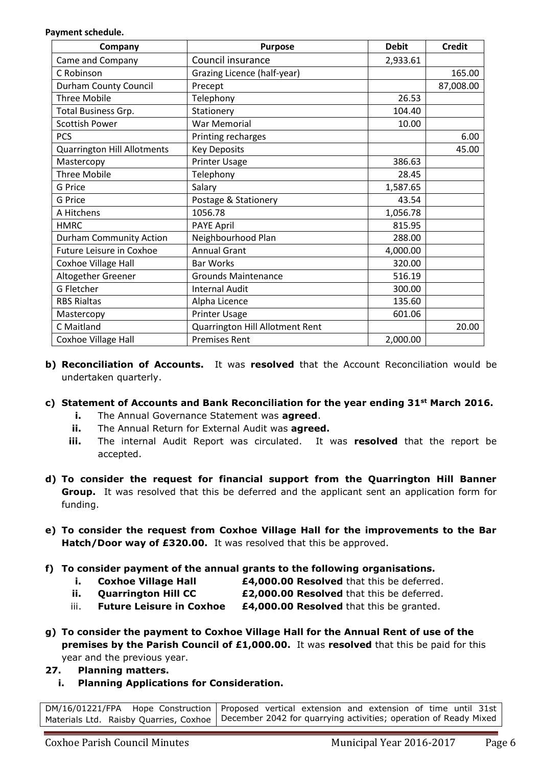**Payment schedule.**

| Company                            | <b>Purpose</b>                  | <b>Debit</b> | <b>Credit</b> |
|------------------------------------|---------------------------------|--------------|---------------|
| Came and Company                   | Council insurance               | 2,933.61     |               |
| C Robinson                         | Grazing Licence (half-year)     |              | 165.00        |
| <b>Durham County Council</b>       | Precept                         |              | 87,008.00     |
| <b>Three Mobile</b>                | Telephony                       | 26.53        |               |
| Total Business Grp.                | Stationery                      | 104.40       |               |
| <b>Scottish Power</b>              | <b>War Memorial</b>             | 10.00        |               |
| <b>PCS</b>                         | Printing recharges              |              | 6.00          |
| <b>Quarrington Hill Allotments</b> | <b>Key Deposits</b>             |              | 45.00         |
| Mastercopy                         | <b>Printer Usage</b>            | 386.63       |               |
| <b>Three Mobile</b>                | Telephony                       | 28.45        |               |
| <b>G</b> Price                     | Salary                          | 1,587.65     |               |
| G Price                            | Postage & Stationery            | 43.54        |               |
| A Hitchens                         | 1056.78                         | 1,056.78     |               |
| <b>HMRC</b>                        | <b>PAYE April</b>               | 815.95       |               |
| <b>Durham Community Action</b>     | Neighbourhood Plan              | 288.00       |               |
| Future Leisure in Coxhoe           | <b>Annual Grant</b>             | 4,000.00     |               |
| Coxhoe Village Hall                | <b>Bar Works</b>                | 320.00       |               |
| Altogether Greener                 | <b>Grounds Maintenance</b>      | 516.19       |               |
| G Fletcher                         | <b>Internal Audit</b>           | 300.00       |               |
| <b>RBS Rialtas</b>                 | Alpha Licence                   | 135.60       |               |
| Mastercopy                         | Printer Usage                   | 601.06       |               |
| C Maitland                         | Quarrington Hill Allotment Rent |              | 20.00         |
| Coxhoe Village Hall                | <b>Premises Rent</b>            | 2,000.00     |               |

- **b) Reconciliation of Accounts.** It was **resolved** that the Account Reconciliation would be undertaken quarterly.
- **c) Statement of Accounts and Bank Reconciliation for the year ending 31st March 2016.**
	- **i.** The Annual Governance Statement was **agreed**.
	- **ii.** The Annual Return for External Audit was **agreed.**
	- **iii.** The internal Audit Report was circulated. It was **resolved** that the report be accepted.
- **d) To consider the request for financial support from the Quarrington Hill Banner Group.** It was resolved that this be deferred and the applicant sent an application form for funding.
- **e) To consider the request from Coxhoe Village Hall for the improvements to the Bar Hatch/Door way of £320.00.** It was resolved that this be approved.
- **f) To consider payment of the annual grants to the following organisations.**
	- **i. Coxhoe Village Hall <b>E4,000.00 Resolved** that this be deferred.
	- **ii. Quarrington Hill CC £2,000.00 Resolved** that this be deferred.
	- iii. **Future Leisure in Coxhoe £4,000.00 Resolved** that this be granted.
- **g) To consider the payment to Coxhoe Village Hall for the Annual Rent of use of the premises by the Parish Council of £1,000.00.** It was **resolved** that this be paid for this year and the previous year.
- **27. Planning matters.**
	- **i. Planning Applications for Consideration.**

[DM/16/01221/FPA](https://publicaccess.durham.gov.uk/online-applications/applicationDetails.do?activeTab=summary&keyVal=O5O6Q5GD0AX00) Hope Construction Materials Ltd. Raisby Quarries, Coxhoe Proposed vertical extension and extension of time until 31st December 2042 for quarrying activities; operation of Ready Mixed